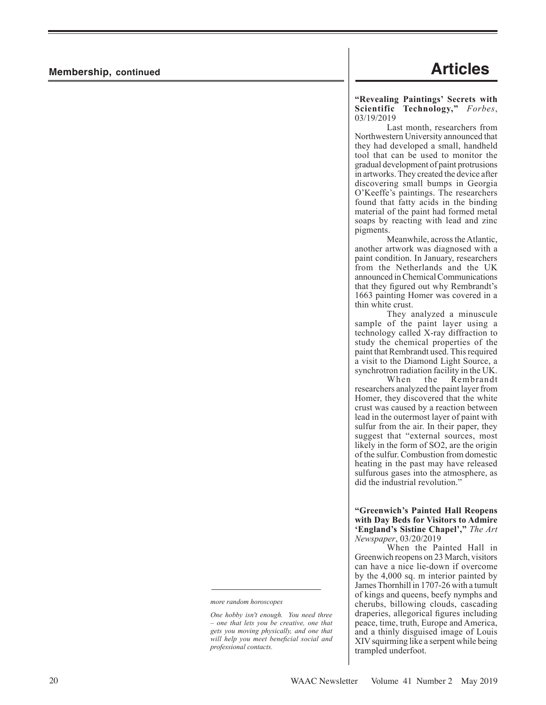# **Membership, continued Articles**

**"Revealing Paintings' Secrets with Scientific Technology,"** *Forbes*, 03/19/2019

Last month, researchers from Northwestern University announced that they had developed a small, handheld tool that can be used to monitor the gradual development of paint protrusions in artworks. They created the device after discovering small bumps in Georgia O'Keeffe's paintings. The researchers found that fatty acids in the binding material of the paint had formed metal soaps by reacting with lead and zinc pigments.

Meanwhile, across the Atlantic, another artwork was diagnosed with a paint condition. In January, researchers from the Netherlands and the UK announced in Chemical Communications that they figured out why Rembrandt's 1663 painting Homer was covered in a thin white crust.

They analyzed a minuscule sample of the paint layer using a technology called X-ray diffraction to study the chemical properties of the paint that Rembrandt used. This required a visit to the Diamond Light Source, a synchrotron radiation facility in the UK.

When the Rembrandt researchers analyzed the paint layer from Homer, they discovered that the white crust was caused by a reaction between lead in the outermost layer of paint with sulfur from the air. In their paper, they suggest that "external sources, most likely in the form of SO2, are the origin of the sulfur. Combustion from domestic heating in the past may have released sulfurous gases into the atmosphere, as did the industrial revolution."

**"Greenwich's Painted Hall Reopens with Day Beds for Visitors to Admire 'England's Sistine Chapel',"** *The Art Newspaper*, 03/20/2019

When the Painted Hall in Greenwich reopens on 23 March, visitors can have a nice lie-down if overcome by the 4,000 sq. m interior painted by James Thornhill in 1707-26 with a tumult of kings and queens, beefy nymphs and cherubs, billowing clouds, cascading draperies, allegorical figures including peace, time, truth, Europe and America, and a thinly disguised image of Louis XIV squirming like a serpent while being trampled underfoot.

*more random horoscopes*

*One hobby isn't enough. You need three – one that lets you be creative, one that gets you moving physically, and one that will help you meet beneficial social and professional contacts.*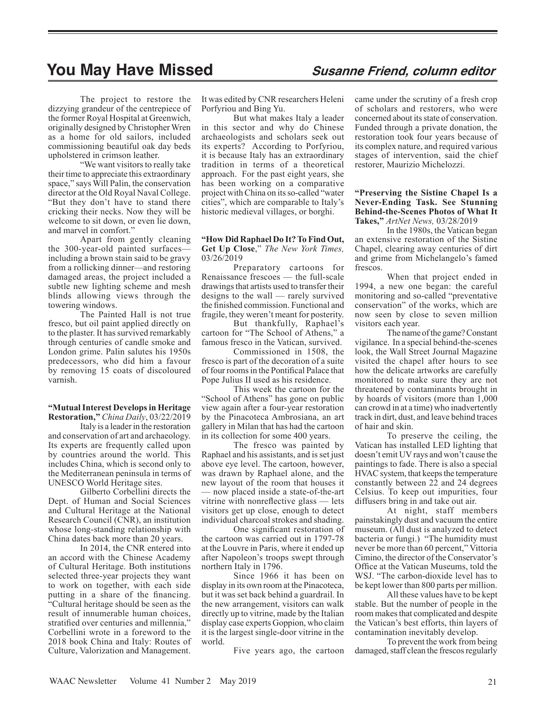# **You May Have Missed Susanne Friend, column editor**

The project to restore the dizzying grandeur of the centrepiece of the former Royal Hospital at Greenwich, originally designed by Christopher Wren as a home for old sailors, included commissioning beautiful oak day beds upholstered in crimson leather.

"We want visitors to really take their time to appreciate this extraordinary space," says Will Palin, the conservation director at the Old Royal Naval College. "But they don't have to stand there cricking their necks. Now they will be welcome to sit down, or even lie down, and marvel in comfort."

Apart from gently cleaning the 300-year-old painted surfaces including a brown stain said to be gravy from a rollicking dinner—and restoring damaged areas, the project included a subtle new lighting scheme and mesh blinds allowing views through the towering windows.

The Painted Hall is not true fresco, but oil paint applied directly on to the plaster. It has survived remarkably through centuries of candle smoke and London grime. Palin salutes his 1950s predecessors, who did him a favour by removing 15 coats of discoloured varnish.

**"Mutual Interest Develops in Heritage Restoration,"** *China Daily*, 03/22/2019

Italy is a leader in the restoration and conservation of art and archaeology. Its experts are frequently called upon by countries around the world. This includes China, which is second only to the Mediterranean peninsula in terms of UNESCO World Heritage sites.

Gilberto Corbellini directs the Dept. of Human and Social Sciences and Cultural Heritage at the National Research Council (CNR), an institution whose long-standing relationship with China dates back more than 20 years.

In 2014, the CNR entered into an accord with the Chinese Academy of Cultural Heritage. Both institutions selected three-year projects they want to work on together, with each side putting in a share of the financing. "Cultural heritage should be seen as the result of innumerable human choices, stratified over centuries and millennia," Corbellini wrote in a foreword to the 2018 book China and Italy: Routes of Culture, Valorization and Management.

It was edited by CNR researchers Heleni Porfyriou and Bing Yu.

But what makes Italy a leader in this sector and why do Chinese archaeologists and scholars seek out its experts? According to Porfyriou, it is because Italy has an extraordinary tradition in terms of a theoretical approach. For the past eight years, she has been working on a comparative project with China on its so-called "water cities", which are comparable to Italy's historic medieval villages, or borghi.

**"How Did Raphael Do It? To Find Out, Get Up Close**," *The New York Times,* 03/26/2019

Preparatory cartoons for Renaissance frescoes — the full-scale drawings that artists used to transfer their designs to the wall — rarely survived the finished commission. Functional and fragile, they weren't meant for posterity.

But thankfully, Raphael's cartoon for "The School of Athens," a famous fresco in the Vatican, survived.

Commissioned in 1508, the fresco is part of the decoration of a suite of four rooms in the Pontifical Palace that Pope Julius II used as his residence.

This week the cartoon for the "School of Athens" has gone on public view again after a four-year restoration by the Pinacoteca Ambrosiana, an art gallery in Milan that has had the cartoon in its collection for some 400 years.

The fresco was painted by Raphael and his assistants, and is set just above eye level. The cartoon, however, was drawn by Raphael alone, and the new layout of the room that houses it — now placed inside a state-of-the-art vitrine with nonreflective glass — lets visitors get up close, enough to detect individual charcoal strokes and shading.

One significant restoration of the cartoon was carried out in 1797-78 at the Louvre in Paris, where it ended up after Napoleon's troops swept through northern Italy in 1796.

Since 1966 it has been on display in its own room at the Pinacoteca, but it was set back behind a guardrail. In the new arrangement, visitors can walk directly up to vitrine, made by the Italian display case experts Goppion, who claim it is the largest single-door vitrine in the world.

Five years ago, the cartoon

came under the scrutiny of a fresh crop of scholars and restorers, who were concerned about its state of conservation. Funded through a private donation, the restoration took four years because of its complex nature, and required various stages of intervention, said the chief restorer, Maurizio Michelozzi.

### **"Preserving the Sistine Chapel Is a Never-Ending Task. See Stunning Behind-the-Scenes Photos of What It Takes,"** *ArtNet News,* 03/28/2019

In the 1980s, the Vatican began an extensive restoration of the Sistine Chapel, clearing away centuries of dirt and grime from Michelangelo's famed frescos.

When that project ended in 1994, a new one began: the careful monitoring and so-called "preventative conservation" of the works, which are now seen by close to seven million visitors each year.

The name of the game? Constant vigilance. In a special behind-the-scenes look, the Wall Street Journal Magazine visited the chapel after hours to see how the delicate artworks are carefully monitored to make sure they are not threatened by contaminants brought in by hoards of visitors (more than 1,000 can crowd in at a time) who inadvertently track in dirt, dust, and leave behind traces of hair and skin.

To preserve the ceiling, the Vatican has installed LED lighting that doesn't emit UV rays and won't cause the paintings to fade. There is also a special HVAC system, that keeps the temperature constantly between 22 and 24 degrees Celsius. To keep out impurities, four diffusers bring in and take out air.

At night, staff members painstakingly dust and vacuum the entire museum. (All dust is analyzed to detect bacteria or fungi.) "The humidity must never be more than 60 percent," Vittoria Cimino, the director of the Conservator's Office at the Vatican Museums, told the WSJ. "The carbon-dioxide level has to be kept lower than 800 parts per million.

All these values have to be kept stable. But the number of people in the room makes that complicated and despite the Vatican's best efforts, thin layers of contamination inevitably develop.

To prevent the work from being damaged, staff clean the frescos regularly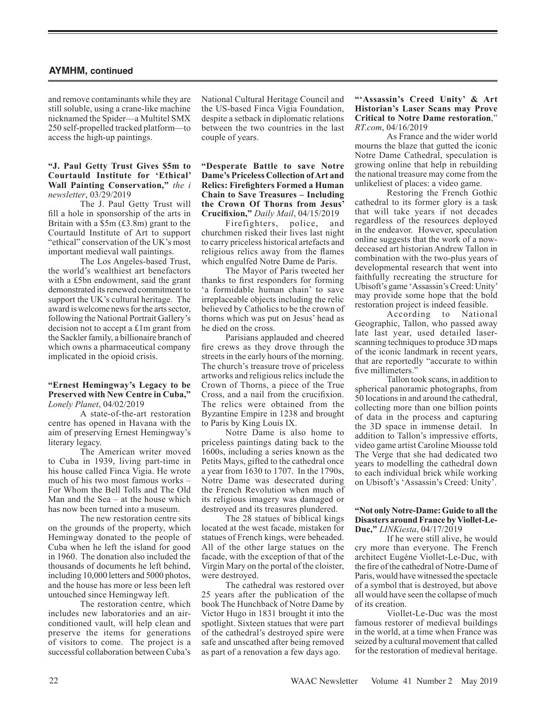# **AYMHM, continued**

and remove contaminants while they are still soluble, using a crane-like machine nicknamed the Spider—a Multitel SMX 250 self-propelled tracked platform—to access the high-up paintings.

### **"J. Paul Getty Trust Gives \$5m to Courtauld Institute for 'Ethical' Wall Painting Conservation,"** *the i newsletter*, 03/29/2019

The J. Paul Getty Trust will fill a hole in sponsorship of the arts in Britain with a \$5m (£3.8m) grant to the Courtauld Institute of Art to support "ethical" conservation of the UK's most important medieval wall paintings.

The Los Angeles-based Trust, the world's wealthiest art benefactors with a £5bn endowment, said the grant demonstrated its renewed commitment to support the UK's cultural heritage. The award is welcome news for the arts sector, following the National Portrait Gallery's decision not to accept a £1m grant from the Sackler family, a billionaire branch of which owns a pharmaceutical company implicated in the opioid crisis.

#### **"Ernest Hemingway's Legacy to be Preserved with New Centre in Cuba,"** *Lonely Planet*, 04/02/2019

A state-of-the-art restoration centre has opened in Havana with the aim of preserving Ernest Hemingway's literary legacy.

The American writer moved to Cuba in 1939, living part-time in his house called Finca Vigia. He wrote much of his two most famous works – For Whom the Bell Tolls and The Old Man and the Sea – at the house which has now been turned into a museum.

The new restoration centre sits on the grounds of the property, which Hemingway donated to the people of Cuba when he left the island for good in 1960. The donation also included the thousands of documents he left behind, including 10,000 letters and 5000 photos, and the house has more or less been left untouched since Hemingway left.

The restoration centre, which includes new laboratories and an airconditioned vault, will help clean and preserve the items for generations of visitors to come. The project is a successful collaboration between Cuba's

National Cultural Heritage Council and the US-based Finca Vigia Foundation, despite a setback in diplomatic relations between the two countries in the last couple of years.

### **"Desperate Battle to save Notre Dame's Priceless Collection of Art and Relics: Firefighters Formed a Human Chain to Save Treasures – Including the Crown Of Thorns from Jesus' Crucifixion,"** *Daily Mail*, 04/15/2019

Firefighters, police, and churchmen risked their lives last night to carry priceless historical artefacts and religious relics away from the flames which engulfed Notre Dame de Paris.

The Mayor of Paris tweeted her thanks to first responders for forming 'a formidable human chain' to save irreplaceable objects including the relic believed by Catholics to be the crown of thorns which was put on Jesus' head as he died on the cross.

Parisians applauded and cheered fire crews as they drove through the streets in the early hours of the morning. The church's treasure trove of priceless artworks and religious relics include the Crown of Thorns, a piece of the True Cross, and a nail from the crucifixion. The relics were obtained from the Byzantine Empire in 1238 and brought to Paris by King Louis IX.

Notre Dame is also home to priceless paintings dating back to the 1600s, including a series known as the Petits Mays, gifted to the cathedral once a year from 1630 to 1707. In the 1790s, Notre Dame was desecrated during the French Revolution when much of its religious imagery was damaged or destroyed and its treasures plundered.

The 28 statues of biblical kings located at the west facade, mistaken for statues of French kings, were beheaded. All of the other large statues on the facade, with the exception of that of the Virgin Mary on the portal of the cloister, were destroyed.

The cathedral was restored over 25 years after the publication of the book The Hunchback of Notre Dame by Victor Hugo in 1831 brought it into the spotlight. Sixteen statues that were part of the cathedral's destroyed spire were safe and unscathed after being removed as part of a renovation a few days ago.

**"'Assassin's Creed Unity' & Art Historian's Laser Scans may Prove Critical to Notre Dame restoration**," *RT.com*, 04/16/2019

As France and the wider world mourns the blaze that gutted the iconic Notre Dame Cathedral, speculation is growing online that help in rebuilding the national treasure may come from the unlikeliest of places: a video game.

Restoring the French Gothic cathedral to its former glory is a task that will take years if not decades regardless of the resources deployed in the endeavor. However, speculation online suggests that the work of a nowdeceased art historian Andrew Tallon in combination with the two-plus years of developmental research that went into faithfully recreating the structure for Ubisoft's game 'Assassin's Creed: Unity' may provide some hope that the bold restoration project is indeed feasible.

According to National Geographic, Tallon, who passed away late last year, used detailed laserscanning techniques to produce 3D maps of the iconic landmark in recent years, that are reportedly "accurate to within five millimeters."

Tallon took scans, in addition to spherical panoramic photographs, from 50 locations in and around the cathedral, collecting more than one billion points of data in the process and capturing the 3D space in immense detail. In addition to Tallon's impressive efforts, video game artist Caroline Miousse told The Verge that she had dedicated two years to modelling the cathedral down to each individual brick while working on Ubisoft's 'Assassin's Creed: Unity'.

#### **"Not only Notre-Dame: Guide to all the Disasters around France by Viollet-Le-Duc,"** *LINKiesta*, 04/17/2019

If he were still alive, he would cry more than everyone. The French architect Eugène Viollet-Le-Duc, with the fire of the cathedral of Notre-Dame of Paris, would have witnessed the spectacle of a symbol that is destroyed, but above all would have seen the collapse of much of its creation.

Viollet-Le-Duc was the most famous restorer of medieval buildings in the world, at a time when France was seized by a cultural movement that called for the restoration of medieval heritage.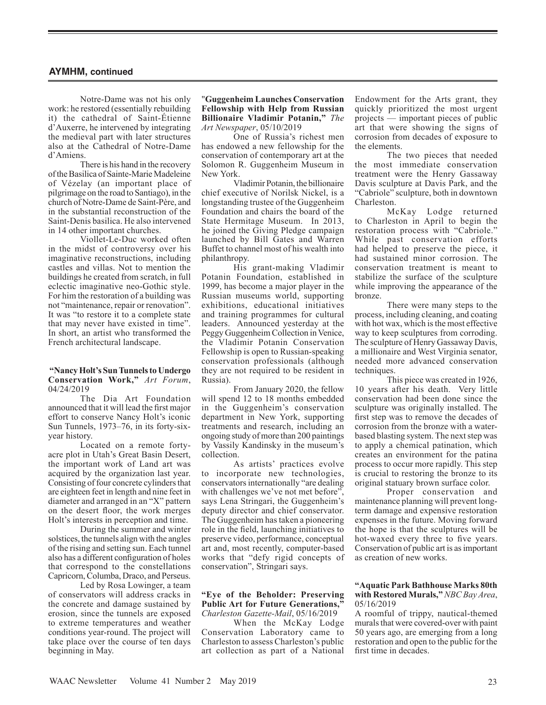## **AYMHM, continued**

Notre-Dame was not his only work: he restored (essentially rebuilding it) the cathedral of Saint-Étienne d'Auxerre, he intervened by integrating the medieval part with later structures also at the Cathedral of Notre-Dame d'Amiens.

There is his hand in the recovery of the Basilica of Sainte-Marie Madeleine of Vézelay (an important place of pilgrimage on the road to Santiago), in the church of Notre-Dame de Saint-Père, and in the substantial reconstruction of the Saint-Denis basilica. He also intervened in 14 other important churches.

Viollet-Le-Duc worked often in the midst of controversy over his imaginative reconstructions, including castles and villas. Not to mention the buildings he created from scratch, in full eclectic imaginative neo-Gothic style. For him the restoration of a building was not "maintenance, repair or renovation". It was "to restore it to a complete state that may never have existed in time". In short, an artist who transformed the French architectural landscape.

#### **"Nancy Holt's Sun Tunnels to Undergo Conservation Work,"** *Art Forum*, 04/24/2019

The Dia Art Foundation announced that it will lead the first major effort to conserve Nancy Holt's iconic Sun Tunnels, 1973–76, in its forty-sixyear history.

Located on a remote fortyacre plot in Utah's Great Basin Desert, the important work of Land art was acquired by the organization last year. Consisting of four concrete cylinders that are eighteen feet in length and nine feet in diameter and arranged in an "X" pattern on the desert floor, the work merges Holt's interests in perception and time.

During the summer and winter solstices, the tunnels align with the angles of the rising and setting sun. Each tunnel also has a different configuration of holes that correspond to the constellations Capricorn, Columba, Draco, and Perseus.

Led by Rosa Lowinger, a team of conservators will address cracks in the concrete and damage sustained by erosion, since the tunnels are exposed to extreme temperatures and weather conditions year-round. The project will take place over the course of ten days beginning in May.

### "**Guggenheim Launches Conservation Fellowship with Help from Russian Billionaire Vladimir Potanin,"** *The Art Newspaper*, 05/10/2019

One of Russia's richest men has endowed a new fellowship for the conservation of contemporary art at the Solomon R. Guggenheim Museum in New York.

Vladimir Potanin, the billionaire chief executive of Norilsk Nickel, is a longstanding trustee of the Guggenheim Foundation and chairs the board of the State Hermitage Museum. In 2013, he joined the Giving Pledge campaign launched by Bill Gates and Warren Buffet to channel most of his wealth into philanthropy.

His grant-making Vladimir Potanin Foundation, established in 1999, has become a major player in the Russian museums world, supporting exhibitions, educational initiatives and training programmes for cultural leaders. Announced yesterday at the Peggy Guggenheim Collection in Venice, the Vladimir Potanin Conservation Fellowship is open to Russian-speaking conservation professionals (although they are not required to be resident in Russia).

From January 2020, the fellow will spend 12 to 18 months embedded in the Guggenheim's conservation department in New York, supporting treatments and research, including an ongoing study of more than 200 paintings by Vassily Kandinsky in the museum's collection.

As artists' practices evolve to incorporate new technologies, conservators internationally "are dealing with challenges we've not met before", says Lena Stringari, the Guggenheim's deputy director and chief conservator. The Guggenheim has taken a pioneering role in the field, launching initiatives to preserve video, performance, conceptual art and, most recently, computer-based works that "defy rigid concepts of conservation", Stringari says.

#### **"Eye of the Beholder: Preserving Public Art for Future Generations,"** *Charleston Gazette-Mail*, 05/16/2019

When the McKay Lodge Conservation Laboratory came to Charleston to assess Charleston's public art collection as part of a National Endowment for the Arts grant, they quickly prioritized the most urgent projects — important pieces of public art that were showing the signs of corrosion from decades of exposure to the elements.

The two pieces that needed the most immediate conservation treatment were the Henry Gassaway Davis sculpture at Davis Park, and the "Cabriole" sculpture, both in downtown Charleston.

McKay Lodge returned to Charleston in April to begin the restoration process with "Cabriole." While past conservation efforts had helped to preserve the piece, it had sustained minor corrosion. The conservation treatment is meant to stabilize the surface of the sculpture while improving the appearance of the bronze.

There were many steps to the process, including cleaning, and coating with hot wax, which is the most effective way to keep sculptures from corroding. The sculpture of Henry Gassaway Davis, a millionaire and West Virginia senator, needed more advanced conservation techniques.

This piece was created in 1926, 10 years after his death. Very little conservation had been done since the sculpture was originally installed. The first step was to remove the decades of corrosion from the bronze with a waterbased blasting system. The next step was to apply a chemical patination, which creates an environment for the patina process to occur more rapidly. This step is crucial to restoring the bronze to its original statuary brown surface color.

Proper conservation and maintenance planning will prevent longterm damage and expensive restoration expenses in the future. Moving forward the hope is that the sculptures will be hot-waxed every three to five years. Conservation of public art is as important as creation of new works.

#### **"Aquatic Park Bathhouse Marks 80th with Restored Murals,"** *NBC Bay Area*, 05/16/2019

A roomful of trippy, nautical-themed murals that were covered-over with paint 50 years ago, are emerging from a long restoration and open to the public for the first time in decades.